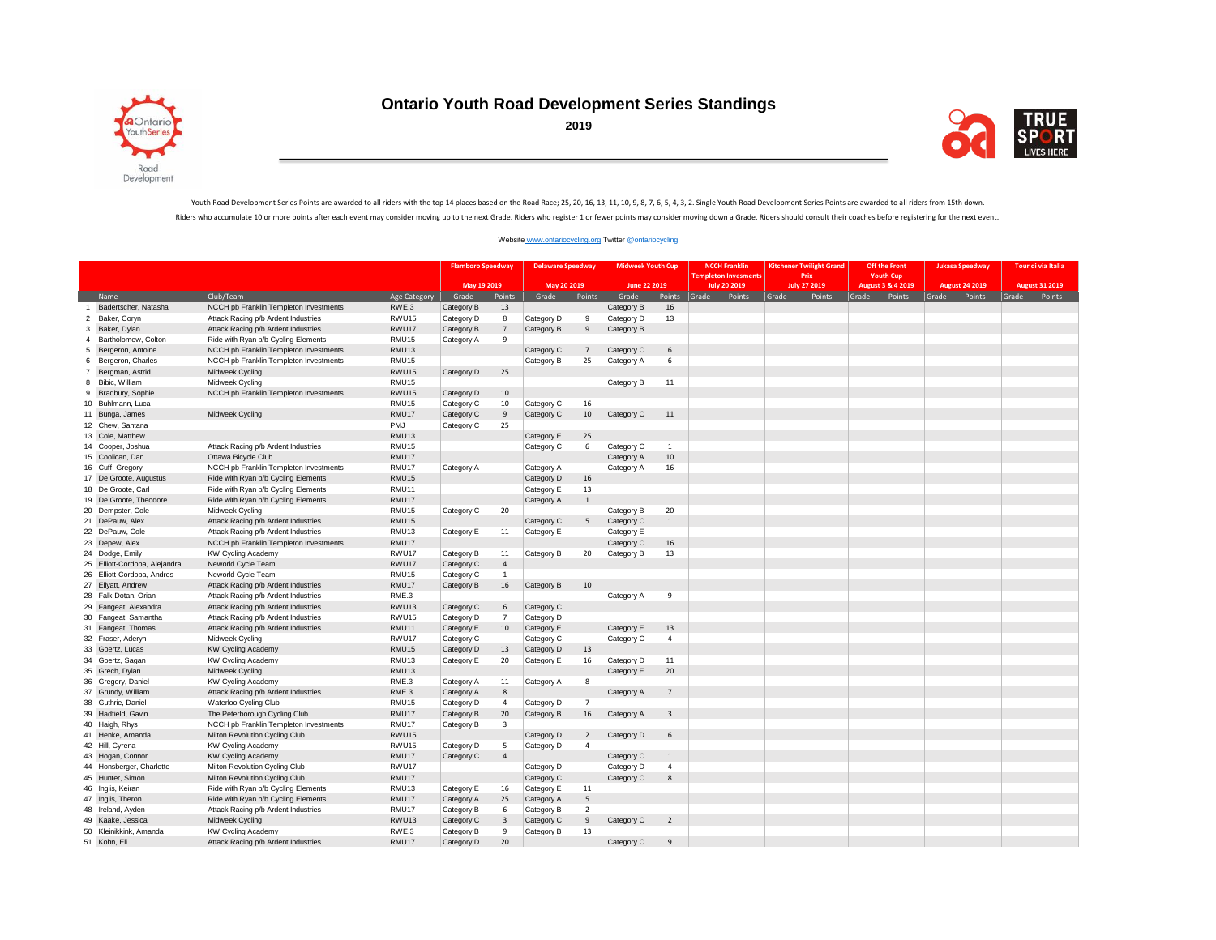

## **Ontario Youth Road Development Series Standings**



Youth Road Development Series Points are awarded to all riders with the top 14 places based on the Road Race; 25, 20, 16, 13, 11, 10, 9, 8, 7, 6, 5, 4, 3, 2. Single Youth Road Development Series Points are awarded to all r Riders who accumulate 10 or more points after each event may consider moving up to the next Grade. Riders who register 1 or fewer points may consider moving down a Grade. Riders should consult their coaches before register

## [Website www.ontariocycling.org](http://www.ontariocycling.org/) Twitter @ontariocycling

|                                |                               |                                        |                     | <b>Flamboro Speedway</b> |                         | <b>Delaware Speedway</b> |                   | <b>Midweek Youth Cup</b> |                | <b>NCCH Franklin</b> | <b>Kitchener Twilight Grand</b> | <b>Off the Front</b> | <b>Jukasa Speedway</b> | Tour di via Italia    |        |
|--------------------------------|-------------------------------|----------------------------------------|---------------------|--------------------------|-------------------------|--------------------------|-------------------|--------------------------|----------------|----------------------|---------------------------------|----------------------|------------------------|-----------------------|--------|
|                                |                               |                                        |                     |                          |                         | May 20 2019              |                   | June 22 2019             |                | Fempleton Invesment  | <b>Prix</b>                     | <b>Youth Cup</b>     |                        |                       |        |
|                                |                               |                                        |                     | May 19 2019              |                         |                          |                   |                          |                | <b>July 20 2019</b>  | July 27 2019                    | August 3 & 4 2019    | <b>August 24 2019</b>  | <b>August 31 2019</b> |        |
| Name                           |                               | Club/Team                              | <b>Age Category</b> | Grade                    | Points                  | Grade                    | Points            | Grade                    | Points         | Grade<br>Points      | Points<br>Grade                 | Grade<br>Points      | Points<br>Grade        | Grade                 | Points |
| $\overline{1}$                 | Badertscher, Natasha          | NCCH pb Franklin Templeton Investments | RWE.3               | Category B               | 13                      |                          |                   | Category B               | 16<br>13       |                      |                                 |                      |                        |                       |        |
| Baker, Coryn<br>$\overline{2}$ |                               | Attack Racing p/b Ardent Industries    | RWU15<br>RWU17      | Category D               | 8<br>$\overline{7}$     | Category D               | 9<br>$\mathbf{q}$ | Category D               |                |                      |                                 |                      |                        |                       |        |
| Baker, Dylan<br>3              |                               | Attack Racing p/b Ardent Industries    |                     | Category B               |                         | Category B               |                   | Category B               |                |                      |                                 |                      |                        |                       |        |
| $\overline{a}$                 | Bartholomew, Colton           | Ride with Ryan p/b Cycling Elements    | RMU15               | Category A               | 9                       |                          |                   |                          |                |                      |                                 |                      |                        |                       |        |
| 5                              | Bergeron, Antoine             | NCCH pb Franklin Templeton Investments | RMU13               |                          |                         | Category C               | $\overline{7}$    | Category C               | 6              |                      |                                 |                      |                        |                       |        |
| 6                              | Bergeron, Charles             | NCCH pb Franklin Templeton Investments | RMU15               |                          |                         | Category B               | 25                | Category A               | 6              |                      |                                 |                      |                        |                       |        |
| $\overline{7}$                 | Bergman, Astrid               | Midweek Cycling                        | RWU15               | Category D               | 25                      |                          |                   |                          |                |                      |                                 |                      |                        |                       |        |
| Bibic, William<br>8            |                               | Midweek Cycling                        | RMU15               |                          |                         |                          |                   | Category B               | 11             |                      |                                 |                      |                        |                       |        |
| 9                              | Bradbury, Sophie              | NCCH pb Franklin Templeton Investments | RWU15               | Category D               | 10                      |                          |                   |                          |                |                      |                                 |                      |                        |                       |        |
| 10 Buhlmann, Luca              |                               |                                        | RMU15               | Category C               | 10                      | Category C               | 16                |                          |                |                      |                                 |                      |                        |                       |        |
| 11 Bunga, James                |                               | Midweek Cycling                        | RMU17               | Category C               | $\overline{9}$          | Category C               | 10 <sup>10</sup>  | Category C               | 11             |                      |                                 |                      |                        |                       |        |
| 12 Chew, Santana               |                               |                                        | PMJ                 | Category C               | 25                      |                          |                   |                          |                |                      |                                 |                      |                        |                       |        |
| 13 Cole, Matthew               |                               |                                        | RMU <sub>13</sub>   |                          |                         | Category E               | 25                |                          |                |                      |                                 |                      |                        |                       |        |
| 14 Cooper, Joshua              |                               | Attack Racing p/b Ardent Industries    | RMU15               |                          |                         | Category C               | 6                 | Category C               | $\mathbf{1}$   |                      |                                 |                      |                        |                       |        |
| 15 Coolican, Dan               |                               | Ottawa Bicycle Club                    | RMU17               |                          |                         |                          |                   | Category A               | 10             |                      |                                 |                      |                        |                       |        |
| 16 Cuff, Gregory               |                               | NCCH pb Franklin Templeton Investments | RMU17               | Category A               |                         | Category A               |                   | Category A               | 16             |                      |                                 |                      |                        |                       |        |
|                                | 17 De Groote, Augustus        | Ride with Ryan p/b Cycling Elements    | RMU <sub>15</sub>   |                          |                         | Category D               | 16                |                          |                |                      |                                 |                      |                        |                       |        |
| 18 De Groote, Carl             |                               | Ride with Ryan p/b Cycling Elements    | RMU11               |                          |                         | Category E               | 13                |                          |                |                      |                                 |                      |                        |                       |        |
|                                | 19 De Groote, Theodore        | Ride with Ryan p/b Cycling Elements    | RMU17               |                          |                         | Category A               | 1                 |                          |                |                      |                                 |                      |                        |                       |        |
| 20 Dempster, Cole              |                               | Midweek Cycling                        | RMU15               | Category C               | 20                      |                          |                   | Category B               | 20             |                      |                                 |                      |                        |                       |        |
| 21 DePauw, Alex                |                               | Attack Racing p/b Ardent Industries    | RMU15               |                          |                         | Category C               | 5                 | Category C               | $\mathbf{1}$   |                      |                                 |                      |                        |                       |        |
| 22 DePauw, Cole                |                               | Attack Racing p/b Ardent Industries    | RMU <sub>13</sub>   | Category E               | 11                      | Category E               |                   | Category E               |                |                      |                                 |                      |                        |                       |        |
| 23 Depew, Alex                 |                               | NCCH pb Franklin Templeton Investments | RMU17               |                          |                         |                          |                   | Category C               | 16             |                      |                                 |                      |                        |                       |        |
| 24 Dodge, Emily                |                               | <b>KW Cycling Academy</b>              | RWU17               | Category B               | 11                      | Category B               | 20                | Category B               | 13             |                      |                                 |                      |                        |                       |        |
|                                | 25 Elliott-Cordoba, Alejandra | Neworld Cycle Team                     | RWU17               | Category C               | $\overline{4}$          |                          |                   |                          |                |                      |                                 |                      |                        |                       |        |
|                                | 26 Elliott-Cordoba, Andres    | Neworld Cycle Team                     | RMU15               | Category C               | 1                       |                          |                   |                          |                |                      |                                 |                      |                        |                       |        |
| 27 Ellyatt, Andrew             |                               | Attack Racing p/b Ardent Industries    | RMU17               | Category B               | 16                      | Category B               | 10                |                          |                |                      |                                 |                      |                        |                       |        |
| 28 Falk-Dotan, Orian           |                               | Attack Racing p/b Ardent Industries    | RME.3               |                          |                         |                          |                   | Category A               | 9              |                      |                                 |                      |                        |                       |        |
|                                | 29 Fangeat, Alexandra         | Attack Racing p/b Ardent Industries    | RWU <sub>13</sub>   | Category C               | 6                       | Category C               |                   |                          |                |                      |                                 |                      |                        |                       |        |
|                                | 30 Fangeat, Samantha          | Attack Racing p/b Ardent Industries    | RWU15               | Category D               | $\overline{7}$          | Category D               |                   |                          |                |                      |                                 |                      |                        |                       |        |
| 31 Fangeat, Thomas             |                               | Attack Racing p/b Ardent Industries    | RMU11               | Category E               | 10                      | Category E               |                   | Category E               | 13             |                      |                                 |                      |                        |                       |        |
| 32 Fraser, Aderyn              |                               | Midweek Cycling                        | RWU17               | Category C               |                         | Category C               |                   | Category C               | $\overline{4}$ |                      |                                 |                      |                        |                       |        |
| 33 Goertz, Lucas               |                               | <b>KW Cycling Academy</b>              | RMU15               | Category D               | 13                      | Category D               | 13                |                          |                |                      |                                 |                      |                        |                       |        |
| 34 Goertz, Sagan               |                               | <b>KW Cycling Academy</b>              | RMU13               | Category E               | 20                      | Category E               | 16                | Category D               | 11             |                      |                                 |                      |                        |                       |        |
| 35 Grech, Dylan                |                               | Midweek Cycling                        | RMU <sub>13</sub>   |                          |                         |                          |                   | Category E               | 20             |                      |                                 |                      |                        |                       |        |
| 36 Gregory, Daniel             |                               | <b>KW Cycling Academy</b>              | RME.3               | Category A               | 11                      | Category A               | 8                 |                          |                |                      |                                 |                      |                        |                       |        |
| 37 Grundy, William             |                               | Attack Racing p/b Ardent Industries    | RME.3               | Category A               | 8                       |                          |                   | Category A               | $7^{\circ}$    |                      |                                 |                      |                        |                       |        |
| 38 Guthrie, Daniel             |                               | Waterloo Cycling Club                  | RMU15               | Category D               | $\overline{4}$          | Category D               | $\overline{7}$    |                          |                |                      |                                 |                      |                        |                       |        |
| 39 Hadfield, Gavin             |                               | The Peterborough Cycling Club          | RMU17               | Category B               | 20                      | Category B               | 16                | Category A               | $\overline{3}$ |                      |                                 |                      |                        |                       |        |
| 40 Haigh, Rhys                 |                               | NCCH pb Franklin Templeton Investments | RMU17               | Category B               | $\overline{\mathbf{3}}$ |                          |                   |                          |                |                      |                                 |                      |                        |                       |        |
| 41 Henke, Amanda               |                               | Milton Revolution Cycling Club         | RWU15               |                          |                         | Category D               | $\overline{2}$    | Category D               | 6              |                      |                                 |                      |                        |                       |        |
| 42 Hill, Cyrena                |                               | <b>KW Cycling Academy</b>              | RWU15               | Category D               | 5                       | Category D               | $\overline{4}$    |                          |                |                      |                                 |                      |                        |                       |        |
| 43 Hogan, Connor               |                               | <b>KW Cycling Academy</b>              | RMU17               | Category C               | $\overline{4}$          |                          |                   | Category C               | $\mathbf{1}$   |                      |                                 |                      |                        |                       |        |
|                                | 44 Honsberger, Charlotte      | Milton Revolution Cycling Club         | RWU17               |                          |                         | Category D               |                   | Category D               | $\overline{4}$ |                      |                                 |                      |                        |                       |        |
| 45 Hunter, Simon               |                               | Milton Revolution Cycling Club         | RMU17               |                          |                         | Category C               |                   | Category C               | 8              |                      |                                 |                      |                        |                       |        |
| 46 Inglis, Keiran              |                               | Ride with Ryan p/b Cycling Elements    | RMU <sub>13</sub>   | Category E               | 16                      | Category E               | 11                |                          |                |                      |                                 |                      |                        |                       |        |
| 47 Inglis, Theron              |                               | Ride with Ryan p/b Cycling Elements    | RMU17               | Category A               | 25                      | Category A               | 5                 |                          |                |                      |                                 |                      |                        |                       |        |
| 48 Ireland, Ayden              |                               | Attack Racing p/b Ardent Industries    | RMU17               | Category B               | 6                       | Category B               | $\overline{2}$    |                          |                |                      |                                 |                      |                        |                       |        |
| 49 Kaake, Jessica              |                               | Midweek Cycling                        | RWU <sub>13</sub>   | Category C               | $\overline{3}$          | Category C               | 9                 | Category C               | $\overline{2}$ |                      |                                 |                      |                        |                       |        |
|                                | 50 Kleinikkink, Amanda        | <b>KW Cycling Academy</b>              | RWE.3               | Category B               | 9                       | Category B               | 13                |                          |                |                      |                                 |                      |                        |                       |        |
| 51 Kohn, Eli                   |                               | Attack Racing p/b Ardent Industries    | RMU17               | Category D               | 20                      |                          |                   | Category C               | $\mathbf{q}$   |                      |                                 |                      |                        |                       |        |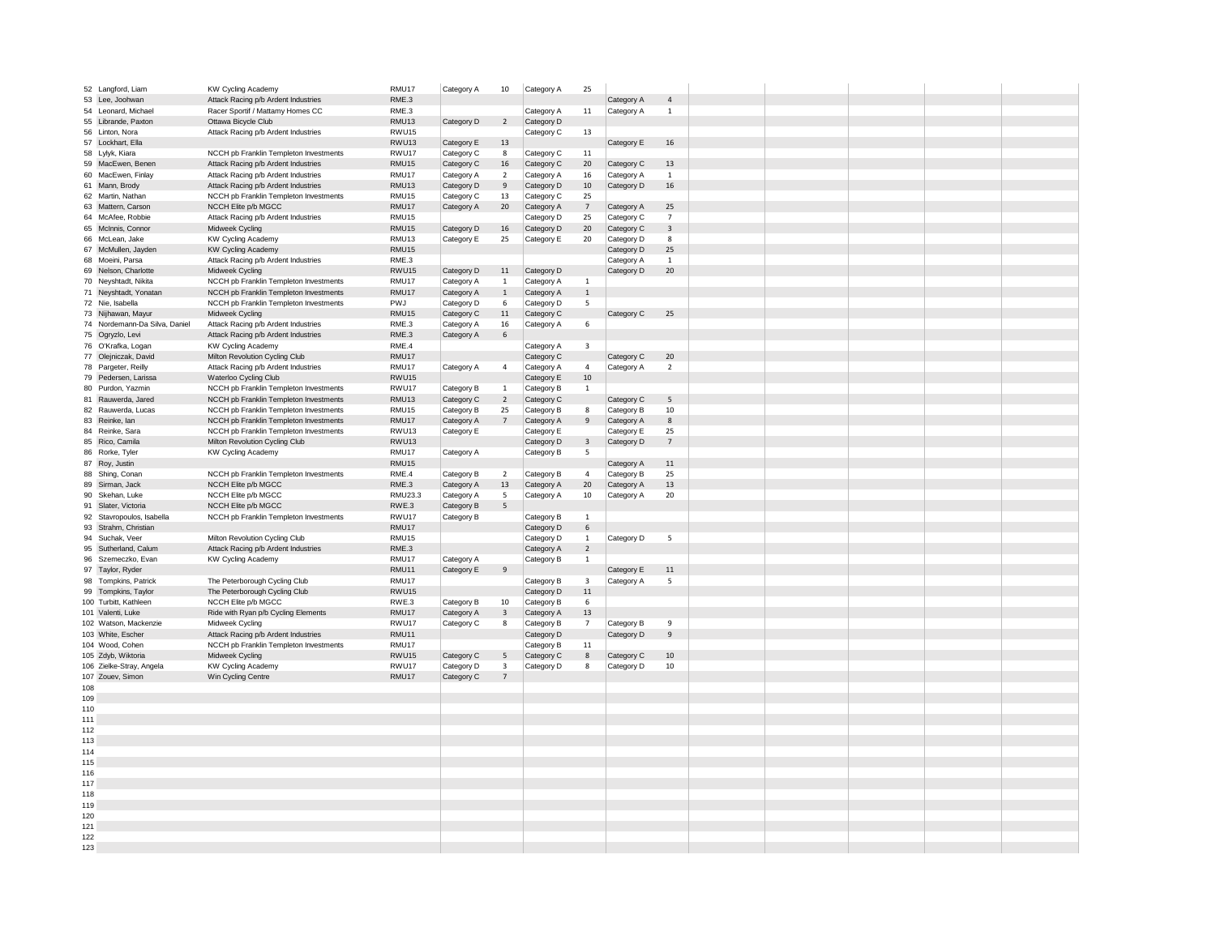|     | 52 Langford, Liam             | KW Cycling Academy                     | RMU17             | Category A | 10             | Category A | 25                      |            |                         |  |  |  |
|-----|-------------------------------|----------------------------------------|-------------------|------------|----------------|------------|-------------------------|------------|-------------------------|--|--|--|
|     | 53 Lee, Joohwan               | Attack Racing p/b Ardent Industries    | RME.3             |            |                |            |                         | Category A | $\overline{4}$          |  |  |  |
| 54  | Leonard, Michael              | Racer Sportif / Mattamy Homes CC       | RME.3             |            |                | Category A | 11                      | Category A | $\,$ 1                  |  |  |  |
|     | 55 Librande, Paxton           | Ottawa Bicycle Club                    | RMU13             | Category D | $\overline{2}$ | Category D |                         |            |                         |  |  |  |
|     | 56 Linton, Nora               | Attack Racing p/b Ardent Industries    | RWU15             |            |                | Category C | 13                      |            |                         |  |  |  |
|     |                               |                                        |                   |            |                |            |                         |            |                         |  |  |  |
|     | 57 Lockhart, Ella             |                                        | RWU <sub>13</sub> | Category E | 13             |            |                         | Category E | 16                      |  |  |  |
|     | 58 Lylyk, Kiara               | NCCH pb Franklin Templeton Investments | RWU17             | Category C | 8              | Category C | 11                      |            |                         |  |  |  |
|     | 59 MacEwen, Benen             | Attack Racing p/b Ardent Industries    | RMU15             | Category C | 16             | Category C | 20                      | Category C | 13                      |  |  |  |
|     | 60 MacEwen, Finlay            | Attack Racing p/b Ardent Industries    | RMU17             | Category A | $\overline{2}$ | Category A | 16                      | Category A | $\mathbf{1}$            |  |  |  |
|     | 61 Mann, Brody                | Attack Racing p/b Ardent Industries    | RMU13             | Category D | 9              | Category D | 10                      | Category D | 16                      |  |  |  |
|     | 62 Martin, Nathan             | NCCH pb Franklin Templeton Investments | RMU15             | Category C | 13             | Category C | 25                      |            |                         |  |  |  |
|     | 63 Mattern, Carson            | NCCH Elite p/b MGCC                    | RMU17             | Category A | 20             | Category A | $7\overline{ }$         | Category A | 25                      |  |  |  |
|     | 64 McAfee, Robbie             | Attack Racing p/b Ardent Industries    | RMU15             |            |                | Category D | 25                      | Category C | $\overline{7}$          |  |  |  |
|     | 65 McInnis, Connor            | Midweek Cycling                        | RMU15             | Category D | 16             | Category D | 20                      | Category C | $\overline{\mathbf{3}}$ |  |  |  |
|     | 66 McLean, Jake               | <b>KW Cycling Academy</b>              | RMU13             |            | 25             |            | 20                      | Category D | 8                       |  |  |  |
|     |                               |                                        |                   | Category E |                | Category E |                         |            | 25                      |  |  |  |
|     | 67 McMullen, Jayden           | <b>KW Cycling Academy</b>              | RMU15             |            |                |            |                         | Category D |                         |  |  |  |
|     | 68 Moeini, Parsa              | Attack Racing p/b Ardent Industries    | RME.3             |            |                |            |                         | Category A | $\,$ 1                  |  |  |  |
|     | 69 Nelson, Charlotte          | Midweek Cycling                        | RWU15             | Category D | 11             | Category D |                         | Category D | $20\,$                  |  |  |  |
|     | 70 Neyshtadt, Nikita          | NCCH pb Franklin Templeton Investments | RMU17             | Category A | $\mathbf{1}$   | Category A | $\overline{1}$          |            |                         |  |  |  |
|     | 71 Neyshtadt, Yonatan         | NCCH pb Franklin Templeton Investments | RMU17             | Category A | $\mathbf{1}$   | Category A | $\overline{1}$          |            |                         |  |  |  |
|     | 72 Nie, Isabella              | NCCH pb Franklin Templeton Investments | PWJ               | Category D | 6              | Category D | 5                       |            |                         |  |  |  |
|     | 73 Nijhawan, Mayur            | Midweek Cycling                        | RMU15             | Category C | 11             | Category C |                         | Category C | 25                      |  |  |  |
|     | 74 Nordemann-Da Silva, Daniel | Attack Racing p/b Ardent Industries    | RME.3             | Category A | 16             | Category A | 6                       |            |                         |  |  |  |
|     | 75 Ogryzlo, Levi              | Attack Racing p/b Ardent Industries    | RME.3             | Category A | 6              |            |                         |            |                         |  |  |  |
|     | 76 O'Krafka, Logan            |                                        | RME.4             |            |                |            |                         |            |                         |  |  |  |
|     |                               | KW Cycling Academy                     |                   |            |                | Category A | $\overline{\mathbf{3}}$ |            |                         |  |  |  |
|     | 77 Olejniczak, David          | Milton Revolution Cycling Club         | RMU17             |            |                | Category C |                         | Category C | 20                      |  |  |  |
|     | 78 Pargeter, Reilly           | Attack Racing p/b Ardent Industries    | RMU17             | Category A | $\overline{4}$ | Category A | $\overline{4}$          | Category A | $\overline{2}$          |  |  |  |
|     | 79 Pedersen, Larissa          | Waterloo Cycling Club                  | RWU15             |            |                | Category E | 10                      |            |                         |  |  |  |
| 80  | Purdon, Yazmin                | NCCH pb Franklin Templeton Investments | RWU17             | Category B | 1              | Category B | 1                       |            |                         |  |  |  |
| 81  | Rauwerda, Jared               | NCCH pb Franklin Templeton Investments | RMU13             | Category C | $\overline{2}$ | Category C |                         | Category C | 5                       |  |  |  |
|     | 82 Rauwerda, Lucas            | NCCH pb Franklin Templeton Investments | RMU15             | Category B | 25             | Category B | 8                       | Category B | 10                      |  |  |  |
|     | 83 Reinke, Ian                | NCCH pb Franklin Templeton Investments | RMU17             | Category A | $\overline{7}$ | Category A | 9                       | Category A | 8                       |  |  |  |
|     |                               |                                        | RWU13             |            |                |            |                         |            | 25                      |  |  |  |
|     | 84 Reinke, Sara               | NCCH pb Franklin Templeton Investments |                   | Category E |                | Category E |                         | Category E |                         |  |  |  |
|     | 85 Rico, Camila               | Milton Revolution Cycling Club         | RWU13             |            |                | Category D | 3                       | Category D | $\overline{7}$          |  |  |  |
|     | 86 Rorke, Tyler               | KW Cycling Academy                     | RMU17             | Category A |                | Category B | 5                       |            |                         |  |  |  |
|     | 87 Roy, Justin                |                                        | RMU15             |            |                |            |                         | Category A | $11\,$                  |  |  |  |
|     | 88 Shing, Conan               | NCCH pb Franklin Templeton Investments | RME.4             | Category B | $\overline{2}$ | Category B | $\overline{4}$          | Category B | 25                      |  |  |  |
|     | 89 Sirman, Jack               | NCCH Elite p/b MGCC                    | RME.3             | Category A | 13             | Category A | 20                      | Category A | 13                      |  |  |  |
|     | 90 Skehan, Luke               | NCCH Elite p/b MGCC                    | RMU23.3           | Category A | 5              | Category A | 10                      | Category A | 20                      |  |  |  |
|     |                               |                                        | RWE.3             |            | 5              |            |                         |            |                         |  |  |  |
|     | 91 Slater, Victoria           | NCCH Elite p/b MGCC                    |                   | Category B |                |            |                         |            |                         |  |  |  |
|     | 92 Stavropoulos, Isabella     | NCCH pb Franklin Templeton Investments | RWU17             | Category B |                | Category B | $\mathbf{1}$            |            |                         |  |  |  |
|     | 93 Strahm, Christian          |                                        | RMU17             |            |                | Category D | 6                       |            |                         |  |  |  |
|     | 94 Suchak, Veer               | Milton Revolution Cycling Club         | RMU15             |            |                | Category D | 1                       | Category D | 5                       |  |  |  |
|     | 95 Sutherland, Calum          | Attack Racing p/b Ardent Industries    | RME.3             |            |                | Category A | $\overline{2}$          |            |                         |  |  |  |
|     | 96 Szemeczko, Evan            | <b>KW Cycling Academy</b>              | RMU17             | Category A |                | Category B | 1                       |            |                         |  |  |  |
|     | 97 Taylor, Ryder              |                                        | RMU11             | Category E | 9              |            |                         | Category E | 11                      |  |  |  |
|     | 98 Tompkins, Patrick          | The Peterborough Cycling Club          | RMU17             |            |                | Category B | 3                       | Category A | 5                       |  |  |  |
|     | 99 Tompkins, Taylor           | The Peterborough Cycling Club          | RWU15             |            |                | Category D | $11\,$                  |            |                         |  |  |  |
|     | 100 Turbitt, Kathleen         |                                        |                   |            |                |            | 6                       |            |                         |  |  |  |
|     |                               | NCCH Elite p/b MGCC                    | RWE.3             | Category B | 10             | Category B |                         |            |                         |  |  |  |
|     | 101 Valenti, Luke             | Ride with Ryan p/b Cycling Elements    | RMU17             | Category A | 3              | Category A | 13                      |            |                         |  |  |  |
|     | 102 Watson, Mackenzie         | Midweek Cycling                        | RWU17             | Category C | 8              | Category B | $\overline{7}$          | Category B | 9                       |  |  |  |
|     | 103 White, Escher             | Attack Racing p/b Ardent Industries    | RMU11             |            |                | Category D |                         | Category D | $\,9$                   |  |  |  |
|     | 104 Wood, Cohen               | NCCH pb Franklin Templeton Investments | RMU17             |            |                | Category B | $11\,$                  |            |                         |  |  |  |
|     | 105 Zdyb, Wiktoria            | Midweek Cycling                        | RWU15             | Category C | 5              | Category C | 8                       | Category C | 10                      |  |  |  |
|     | 106 Zielke-Stray, Angela      | KW Cycling Academy                     | RWU17             | Category D | 3              | Category D | 8                       | Category D | 10                      |  |  |  |
|     | 107 Zouev, Simon              | Win Cycling Centre                     | RMU17             | Category C | $\overline{7}$ |            |                         |            |                         |  |  |  |
| 108 |                               |                                        |                   |            |                |            |                         |            |                         |  |  |  |
| 109 |                               |                                        |                   |            |                |            |                         |            |                         |  |  |  |
|     |                               |                                        |                   |            |                |            |                         |            |                         |  |  |  |
| 110 |                               |                                        |                   |            |                |            |                         |            |                         |  |  |  |
| 111 |                               |                                        |                   |            |                |            |                         |            |                         |  |  |  |
| 112 |                               |                                        |                   |            |                |            |                         |            |                         |  |  |  |
| 113 |                               |                                        |                   |            |                |            |                         |            |                         |  |  |  |
| 114 |                               |                                        |                   |            |                |            |                         |            |                         |  |  |  |
| 115 |                               |                                        |                   |            |                |            |                         |            |                         |  |  |  |
| 116 |                               |                                        |                   |            |                |            |                         |            |                         |  |  |  |
| 117 |                               |                                        |                   |            |                |            |                         |            |                         |  |  |  |
|     |                               |                                        |                   |            |                |            |                         |            |                         |  |  |  |
| 118 |                               |                                        |                   |            |                |            |                         |            |                         |  |  |  |
| 119 |                               |                                        |                   |            |                |            |                         |            |                         |  |  |  |
| 120 |                               |                                        |                   |            |                |            |                         |            |                         |  |  |  |
| 121 |                               |                                        |                   |            |                |            |                         |            |                         |  |  |  |
| 122 |                               |                                        |                   |            |                |            |                         |            |                         |  |  |  |
|     |                               |                                        |                   |            |                |            |                         |            |                         |  |  |  |